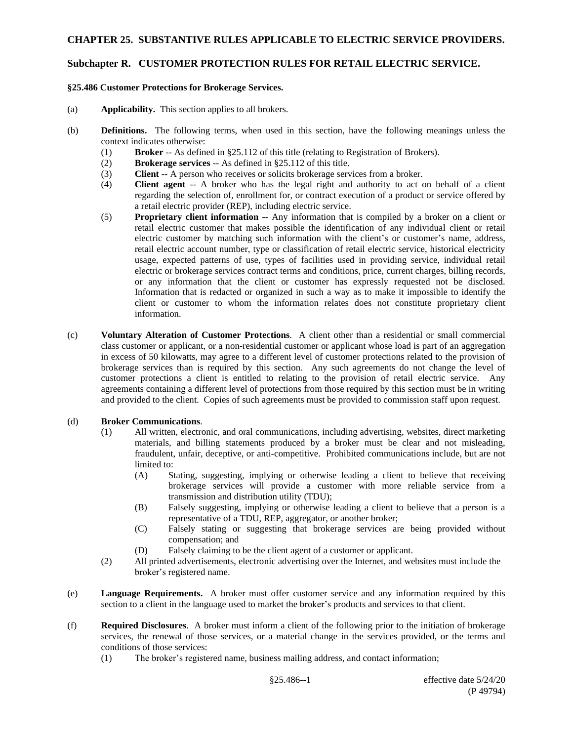### **CHAPTER 25. SUBSTANTIVE RULES APPLICABLE TO ELECTRIC SERVICE PROVIDERS.**

# **Subchapter R. CUSTOMER PROTECTION RULES FOR RETAIL ELECTRIC SERVICE.**

### **§25.486 Customer Protections for Brokerage Services.**

- (a) **Applicability.** This section applies to all brokers.
- (b) **Definitions.** The following terms, when used in this section, have the following meanings unless the context indicates otherwise:
	- (1) **Broker** -- As defined in §25.112 of this title (relating to Registration of Brokers).
	- (2) **Brokerage services** -- As defined in §25.112 of this title.
	- (3) **Client** -- A person who receives or solicits brokerage services from a broker.
	- (4) **Client agent** -- A broker who has the legal right and authority to act on behalf of a client regarding the selection of, enrollment for, or contract execution of a product or service offered by a retail electric provider (REP), including electric service.
	- (5) **Proprietary client information** -- Any information that is compiled by a broker on a client or retail electric customer that makes possible the identification of any individual client or retail electric customer by matching such information with the client's or customer's name, address, retail electric account number, type or classification of retail electric service, historical electricity usage, expected patterns of use, types of facilities used in providing service, individual retail electric or brokerage services contract terms and conditions, price, current charges, billing records, or any information that the client or customer has expressly requested not be disclosed. Information that is redacted or organized in such a way as to make it impossible to identify the client or customer to whom the information relates does not constitute proprietary client information.
- (c) **Voluntary Alteration of Customer Protections**. A client other than a residential or small commercial class customer or applicant, or a non-residential customer or applicant whose load is part of an aggregation in excess of 50 kilowatts, may agree to a different level of customer protections related to the provision of brokerage services than is required by this section. Any such agreements do not change the level of customer protections a client is entitled to relating to the provision of retail electric service. Any agreements containing a different level of protections from those required by this section must be in writing and provided to the client. Copies of such agreements must be provided to commission staff upon request.

#### (d) **Broker Communications**.

- (1) All written, electronic, and oral communications, including advertising, websites, direct marketing materials, and billing statements produced by a broker must be clear and not misleading, fraudulent, unfair, deceptive, or anti-competitive. Prohibited communications include, but are not limited to:
	- (A) Stating, suggesting, implying or otherwise leading a client to believe that receiving brokerage services will provide a customer with more reliable service from a transmission and distribution utility (TDU);
	- (B) Falsely suggesting, implying or otherwise leading a client to believe that a person is a representative of a TDU, REP, aggregator, or another broker;
	- (C) Falsely stating or suggesting that brokerage services are being provided without compensation; and
	- (D) Falsely claiming to be the client agent of a customer or applicant.
- (2) All printed advertisements, electronic advertising over the Internet, and websites must include the broker's registered name.
- (e) **Language Requirements.** A broker must offer customer service and any information required by this section to a client in the language used to market the broker's products and services to that client.
- (f) **Required Disclosures**. A broker must inform a client of the following prior to the initiation of brokerage services, the renewal of those services, or a material change in the services provided, or the terms and conditions of those services:
	- (1) The broker's registered name, business mailing address, and contact information;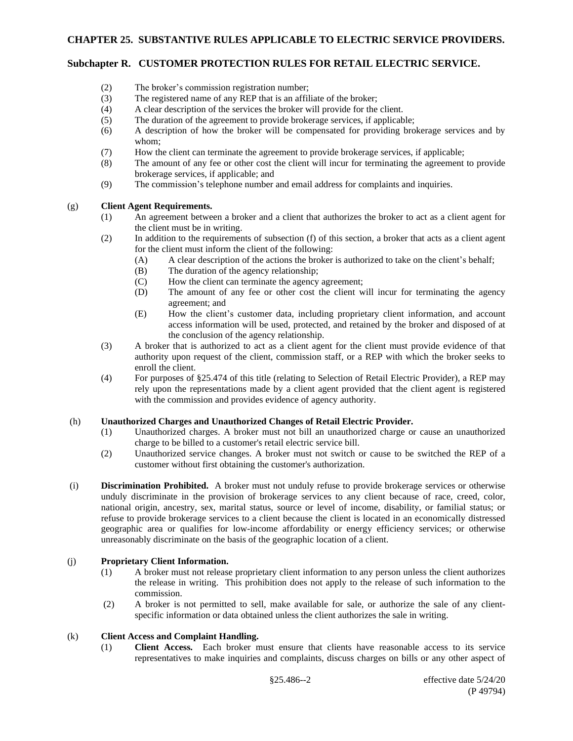# **CHAPTER 25. SUBSTANTIVE RULES APPLICABLE TO ELECTRIC SERVICE PROVIDERS.**

### **Subchapter R. CUSTOMER PROTECTION RULES FOR RETAIL ELECTRIC SERVICE.**

- (2) The broker's commission registration number;
- (3) The registered name of any REP that is an affiliate of the broker;
- (4) A clear description of the services the broker will provide for the client.
- (5) The duration of the agreement to provide brokerage services, if applicable;
- (6) A description of how the broker will be compensated for providing brokerage services and by whom;
- (7) How the client can terminate the agreement to provide brokerage services, if applicable;
- (8) The amount of any fee or other cost the client will incur for terminating the agreement to provide brokerage services, if applicable; and
- (9) The commission's telephone number and email address for complaints and inquiries.

#### (g) **Client Agent Requirements.**

- (1) An agreement between a broker and a client that authorizes the broker to act as a client agent for the client must be in writing.
- (2) In addition to the requirements of subsection (f) of this section, a broker that acts as a client agent for the client must inform the client of the following:
	- (A) A clear description of the actions the broker is authorized to take on the client's behalf;
	- (B) The duration of the agency relationship;
	- (C) How the client can terminate the agency agreement;
	- (D) The amount of any fee or other cost the client will incur for terminating the agency agreement; and
	- (E) How the client's customer data, including proprietary client information, and account access information will be used, protected, and retained by the broker and disposed of at the conclusion of the agency relationship.
- (3) A broker that is authorized to act as a client agent for the client must provide evidence of that authority upon request of the client, commission staff, or a REP with which the broker seeks to enroll the client.
- (4) For purposes of §25.474 of this title (relating to Selection of Retail Electric Provider), a REP may rely upon the representations made by a client agent provided that the client agent is registered with the commission and provides evidence of agency authority.

#### (h) **Unauthorized Charges and Unauthorized Changes of Retail Electric Provider.**

- (1) Unauthorized charges. A broker must not bill an unauthorized charge or cause an unauthorized charge to be billed to a customer's retail electric service bill.
- (2) Unauthorized service changes. A broker must not switch or cause to be switched the REP of a customer without first obtaining the customer's authorization.
- (i) **Discrimination Prohibited.** A broker must not unduly refuse to provide brokerage services or otherwise unduly discriminate in the provision of brokerage services to any client because of race, creed, color, national origin, ancestry, sex, marital status, source or level of income, disability, or familial status; or refuse to provide brokerage services to a client because the client is located in an economically distressed geographic area or qualifies for low-income affordability or energy efficiency services; or otherwise unreasonably discriminate on the basis of the geographic location of a client.

#### (j) **Proprietary Client Information.**

- (1) A broker must not release proprietary client information to any person unless the client authorizes the release in writing. This prohibition does not apply to the release of such information to the commission.
- (2) A broker is not permitted to sell, make available for sale, or authorize the sale of any clientspecific information or data obtained unless the client authorizes the sale in writing.

#### (k) **Client Access and Complaint Handling.**

(1) **Client Access.** Each broker must ensure that clients have reasonable access to its service representatives to make inquiries and complaints, discuss charges on bills or any other aspect of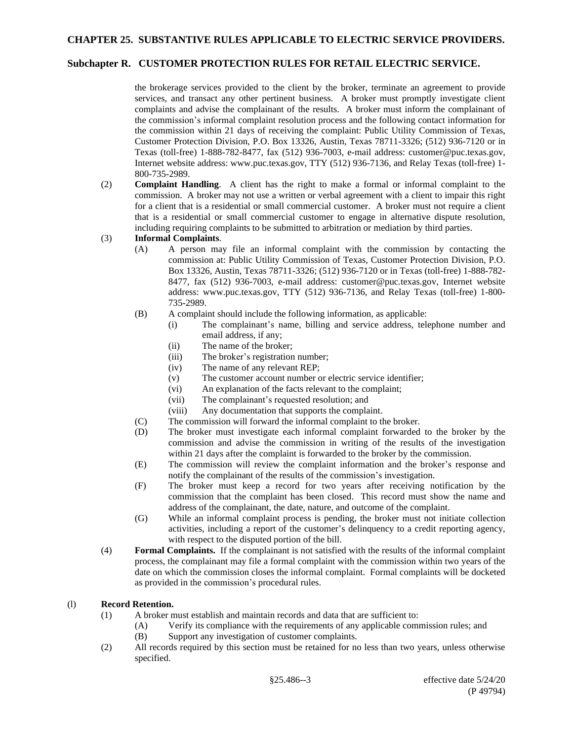# **Subchapter R. CUSTOMER PROTECTION RULES FOR RETAIL ELECTRIC SERVICE.**

the brokerage services provided to the client by the broker, terminate an agreement to provide services, and transact any other pertinent business. A broker must promptly investigate client complaints and advise the complainant of the results. A broker must inform the complainant of the commission's informal complaint resolution process and the following contact information for the commission within 21 days of receiving the complaint: Public Utility Commission of Texas, Customer Protection Division, P.O. Box 13326, Austin, Texas 78711-3326; (512) 936-7120 or in Texas (toll-free) 1-888-782-8477, fax (512) 936-7003, e-mail address: customer@puc.texas.gov, Internet website address: www.puc.texas.gov, TTY (512) 936-7136, and Relay Texas (toll-free) 1- 800-735-2989.

(2) **Complaint Handling**. A client has the right to make a formal or informal complaint to the commission. A broker may not use a written or verbal agreement with a client to impair this right for a client that is a residential or small commercial customer. A broker must not require a client that is a residential or small commercial customer to engage in alternative dispute resolution, including requiring complaints to be submitted to arbitration or mediation by third parties.

#### (3) **Informal Complaints**.

- (A) A person may file an informal complaint with the commission by contacting the commission at: Public Utility Commission of Texas, Customer Protection Division, P.O. Box 13326, Austin, Texas 78711-3326; (512) 936-7120 or in Texas (toll-free) 1-888-782- 8477, fax (512) 936-7003, e-mail address: customer@puc.texas.gov, Internet website address: www.puc.texas.gov, TTY (512) 936-7136, and Relay Texas (toll-free) 1-800- 735-2989.
- (B) A complaint should include the following information, as applicable:
	- (i) The complainant's name, billing and service address, telephone number and email address, if any;
	- (ii) The name of the broker;
	- (iii) The broker's registration number;
	- (iv) The name of any relevant REP;
	- (v) The customer account number or electric service identifier;
	- (vi) An explanation of the facts relevant to the complaint;
	- (vii) The complainant's requested resolution; and
	- (viii) Any documentation that supports the complaint.
- (C) The commission will forward the informal complaint to the broker.
- (D) The broker must investigate each informal complaint forwarded to the broker by the commission and advise the commission in writing of the results of the investigation within 21 days after the complaint is forwarded to the broker by the commission.
- (E) The commission will review the complaint information and the broker's response and notify the complainant of the results of the commission's investigation.
- (F) The broker must keep a record for two years after receiving notification by the commission that the complaint has been closed. This record must show the name and address of the complainant, the date, nature, and outcome of the complaint.
- (G) While an informal complaint process is pending, the broker must not initiate collection activities, including a report of the customer's delinquency to a credit reporting agency, with respect to the disputed portion of the bill.
- (4) **Formal Complaints.** If the complainant is not satisfied with the results of the informal complaint process, the complainant may file a formal complaint with the commission within two years of the date on which the commission closes the informal complaint. Formal complaints will be docketed as provided in the commission's procedural rules.

#### (l) **Record Retention.**

- (1) A broker must establish and maintain records and data that are sufficient to:
	- (A) Verify its compliance with the requirements of any applicable commission rules; and (B) Support any investigation of customer complaints.
- (2) All records required by this section must be retained for no less than two years, unless otherwise specified.